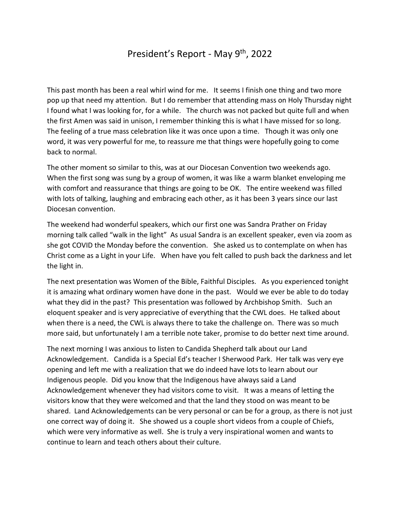## President's Report - May 9th, 2022

This past month has been a real whirl wind for me. It seems I finish one thing and two more pop up that need my attention. But I do remember that attending mass on Holy Thursday night I found what I was looking for, for a while. The church was not packed but quite full and when the first Amen was said in unison, I remember thinking this is what I have missed for so long. The feeling of a true mass celebration like it was once upon a time. Though it was only one word, it was very powerful for me, to reassure me that things were hopefully going to come back to normal.

The other moment so similar to this, was at our Diocesan Convention two weekends ago. When the first song was sung by a group of women, it was like a warm blanket enveloping me with comfort and reassurance that things are going to be OK. The entire weekend was filled with lots of talking, laughing and embracing each other, as it has been 3 years since our last Diocesan convention.

The weekend had wonderful speakers, which our first one was Sandra Prather on Friday morning talk called "walk in the light" As usual Sandra is an excellent speaker, even via zoom as she got COVID the Monday before the convention. She asked us to contemplate on when has Christ come as a Light in your Life. When have you felt called to push back the darkness and let the light in.

The next presentation was Women of the Bible, Faithful Disciples. As you experienced tonight it is amazing what ordinary women have done in the past. Would we ever be able to do today what they did in the past? This presentation was followed by Archbishop Smith. Such an eloquent speaker and is very appreciative of everything that the CWL does. He talked about when there is a need, the CWL is always there to take the challenge on. There was so much more said, but unfortunately I am a terrible note taker, promise to do better next time around.

The next morning I was anxious to listen to Candida Shepherd talk about our Land Acknowledgement. Candida is a Special Ed's teacher I Sherwood Park. Her talk was very eye opening and left me with a realization that we do indeed have lots to learn about our Indigenous people. Did you know that the Indigenous have always said a Land Acknowledgement whenever they had visitors come to visit. It was a means of letting the visitors know that they were welcomed and that the land they stood on was meant to be shared. Land Acknowledgements can be very personal or can be for a group, as there is not just one correct way of doing it. She showed us a couple short videos from a couple of Chiefs, which were very informative as well. She is truly a very inspirational women and wants to continue to learn and teach others about their culture.